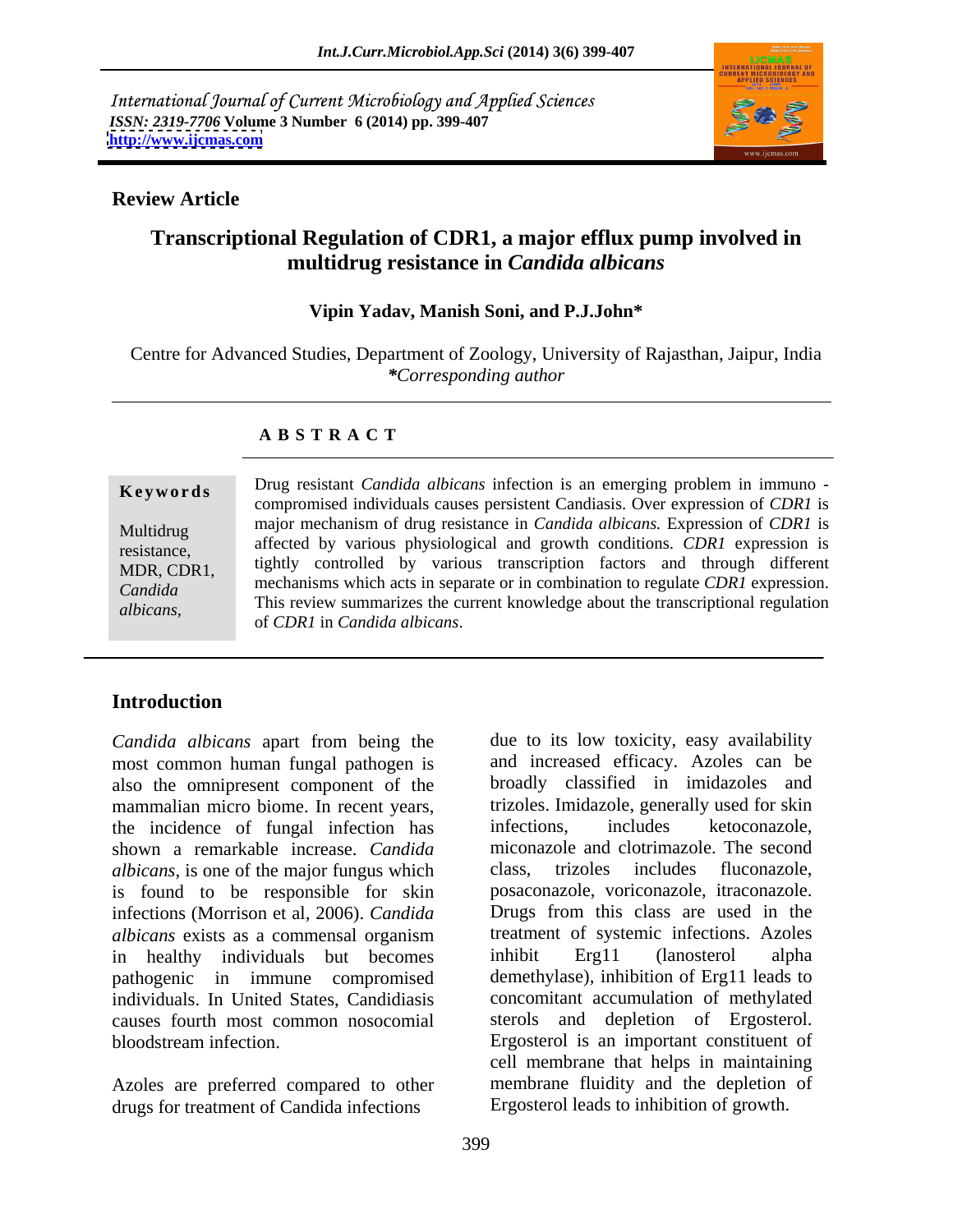International Journal of Current Microbiology and Applied Sciences *ISSN: 2319-7706* **Volume 3 Number 6 (2014) pp. 399-407 <http://www.ijcmas.com>**



## **Review Article**

# **Transcriptional Regulation of CDR1, a major efflux pump involved in multidrug resistance in** *Candida albicans*

### **Vipin Yadav, Manish Soni, and P.J.John\***

Centre for Advanced Studies, Department of Zoology, University of Rajasthan, Jaipur, India *\*Corresponding author*

### **A B S T R A C T**

**Keywords** Drug resistant *Candida albicans* infection is an emerging problem in immuno -Multidrug major mechanism of drug resistance in *Candida albicans.*Expression of *CDR1* is resistance, affected by various physiological and growth conditions. *CDR1* expression is MDR, CDR1, tightly controlled by various transcription factors and through different *Candida*  mechanisms which acts in separate or in combination to regulate *CDR1* expression. *albicans*, This review summarizes the current knowledge about the transcriptional regulation  $\epsilon$  and  $\epsilon$  and  $\epsilon$  is the  $\epsilon$  in  $\epsilon$  in  $\epsilon$  in  $\epsilon$  in  $\epsilon$  in  $\epsilon$  in  $\epsilon$  in  $\epsilon$  in  $\epsilon$  in  $\epsilon$  in  $\epsilon$  in  $\epsilon$  in  $\$ compromised individuals causes persistent Candiasis. Over expression of *CDR1* is of *CDR1* in *Candida albicans*.

# **Introduction**

*Candida albicans* apart from being the most common human fungal pathogen is also the omnipresent component of the mammalian micro biome. In recent years, the incidence of fungal infection has infections, includes ketoconazole, shown a remarkable increase. *Candida albicans*, is one of the major fungus which infections (Morrison et al, 2006). *Candida*  in healthy individuals but becomes inhibit Erg11 (lanosterol alpha pathogenic in immune compromised individuals. In United States, Candidiasis

Azoles are preferred compared to other drugs for treatment of Candida infections

is found to be responsible for skin posaconazole, voriconazole, itraconazole. *albicans* exists as a commensal organism causes fourth most common nosocomial sterols and depletion of Ergosterol. bloodstream infection. Ergosterol is an important constituent of due to its low toxicity, easy availability and increased efficacy. Azoles can be broadly classified in imidazoles and trizoles. Imidazole, generally used for skin infections, includes ketoconazole, miconazole and clotrimazole. The second includes fluconazole, Drugs from this class are used in the treatment of systemic infections. Azoles inhibit Erg11 (lanosterol alpha demethylase), inhibition of Erg11 leads to concomitant accumulation of methylated cell membrane that helps in maintaining membrane fluidity and the depletion of Ergosterol leads to inhibition of growth.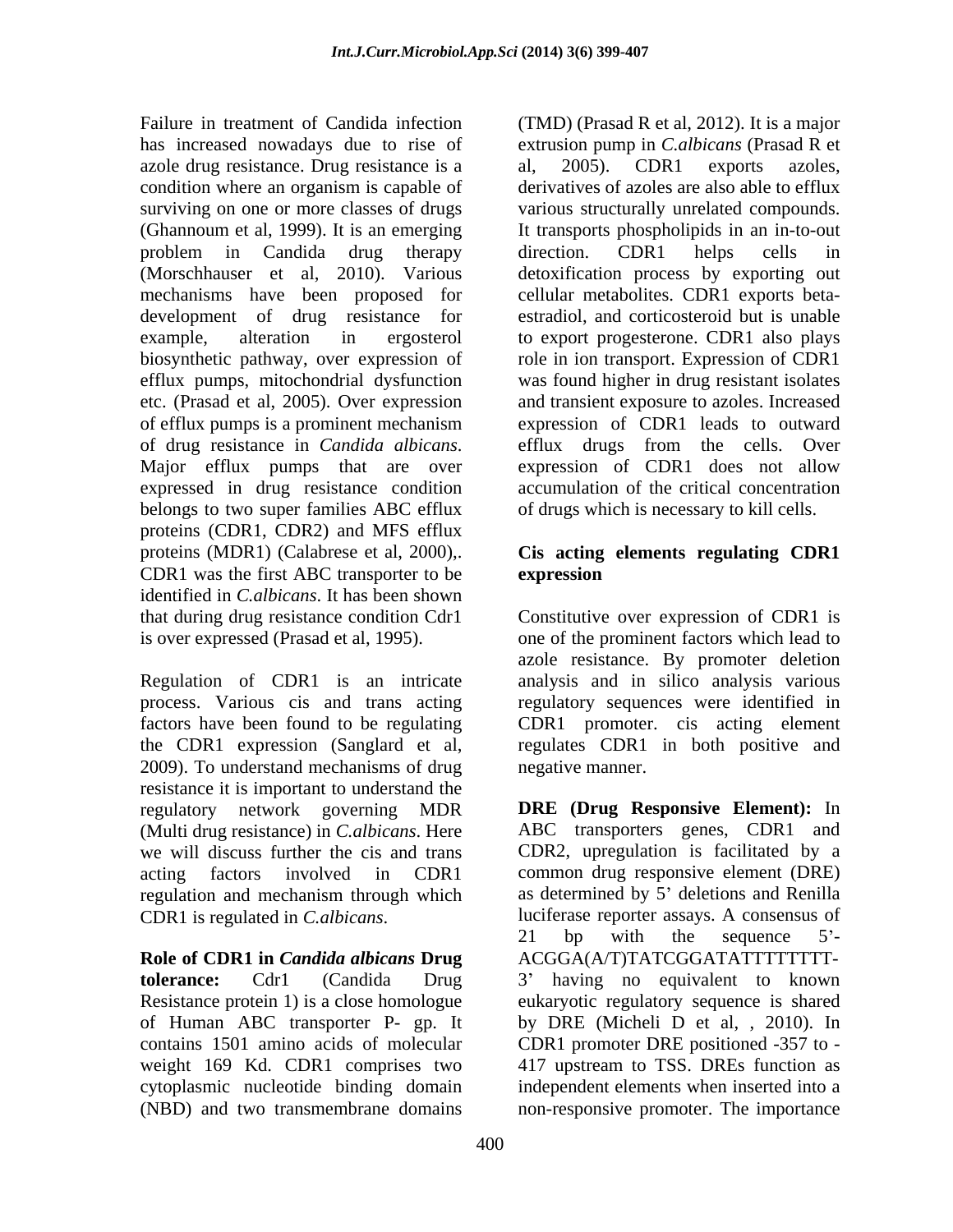azole drug resistance. Drug resistance is a al, 2005). CDR1 exports azoles, (Ghannoum et al, 1999). It is an emerging mechanisms have been proposed for of efflux pumps is a prominent mechanism expressed in drug resistance condition belongs to two super families ABC efflux proteins (CDR1, CDR2) and MFS efflux proteins (MDR1) (Calabrese et al, 2000),. **Cis acting elements regulating CDR1** CDR1 was the first ABC transporter to be identified in *C.albicans*. It has been shown that during drug resistance condition Cdr1 Constitutive over expression of CDR1 is is over expressed (Prasad et al, 1995). one of the prominent factors which lead to

Regulation of CDR1 is an intricate 2009). To understand mechanisms of drug resistance it is important to understand the regulatory network governing MDR (Multi drug resistance) in *C.albicans*. Here regulation and mechanism through which

Failure in treatment of Candida infection (TMD) (Prasad R et al, 2012). It is a major has increased nowadays due to rise of extrusion pump in *C.albicans* (Prasad R et condition where an organism is capable of derivatives of azoles are also able to efflux surviving on one or more classes of drugs various structurally unrelated compounds. problem in Candida drug therapy direction. CDR1 helps cells in (Morschhauser et al, 2010). Various detoxification process by exporting out development of drug resistance for estradiol, and corticosteroid but is unable example, alteration in ergosterol to export progesterone. CDR1 also plays biosynthetic pathway, over expression of role in ion transport. Expression of CDR1 efflux pumps, mitochondrial dysfunction was found higher in drug resistant isolates etc. (Prasad et al, 2005). Over expression and transient exposure to azoles. Increased of drug resistance in *Candida albicans*. Major efflux pumps that are over al, 2005). CDR1 exports azoles, It transports phospholipids in an in-to-out direction. CDR1 helps cells in cellular metabolites. CDR1 exports beta expression of CDR1 leads to outward efflux drugs from the cells. Over expression of CDR1 does not allow accumulation of the critical concentration of drugs which is necessary to kill cells.

# **expression**

process. Various cis and trans acting regulatory sequences were identified in factors have been found to be regulating CDR1 promoter. cis acting element the CDR1 expression (Sanglard et al, regulates CDR1 in both positive and azole resistance. By promoter deletion analysis and in silico analysis various negative manner.

we will discuss further the cis and trans CDR2, upregulation is facilitated by a acting factors involved in CDR1 common drug responsive element (DRE) CDR1 is regulated in *C.albicans*. luciferase reporter assays. A consensus of **Role of CDR1 in** *Candida albicans* **Drug** ACGGA(A/T)TATCGGATATTTTTTTT **tolerance:** Cdr1 (Candida Drug 3 having no equivalent to known Resistance protein 1) is a close homologue eukaryotic regulatory sequence is shared of Human ABC transporter P- gp. It by DRE (Micheli D et al, , 2010). In contains 1501 amino acids of molecular CDR1 promoter DRE positioned -357 to weight 169 Kd. CDR1 comprises two 417 upstream to TSS. DREs function as cytoplasmic nucleotide binding domain independent elements when inserted into a (NBD) and two transmembrane domains non-responsive promoter. The importance**DRE (Drug Responsive Element):** In ABC transporters genes, CDR1 and as determined by 5' deletions and Renilla 21 bp with the sequence 5<sup>2</sup>-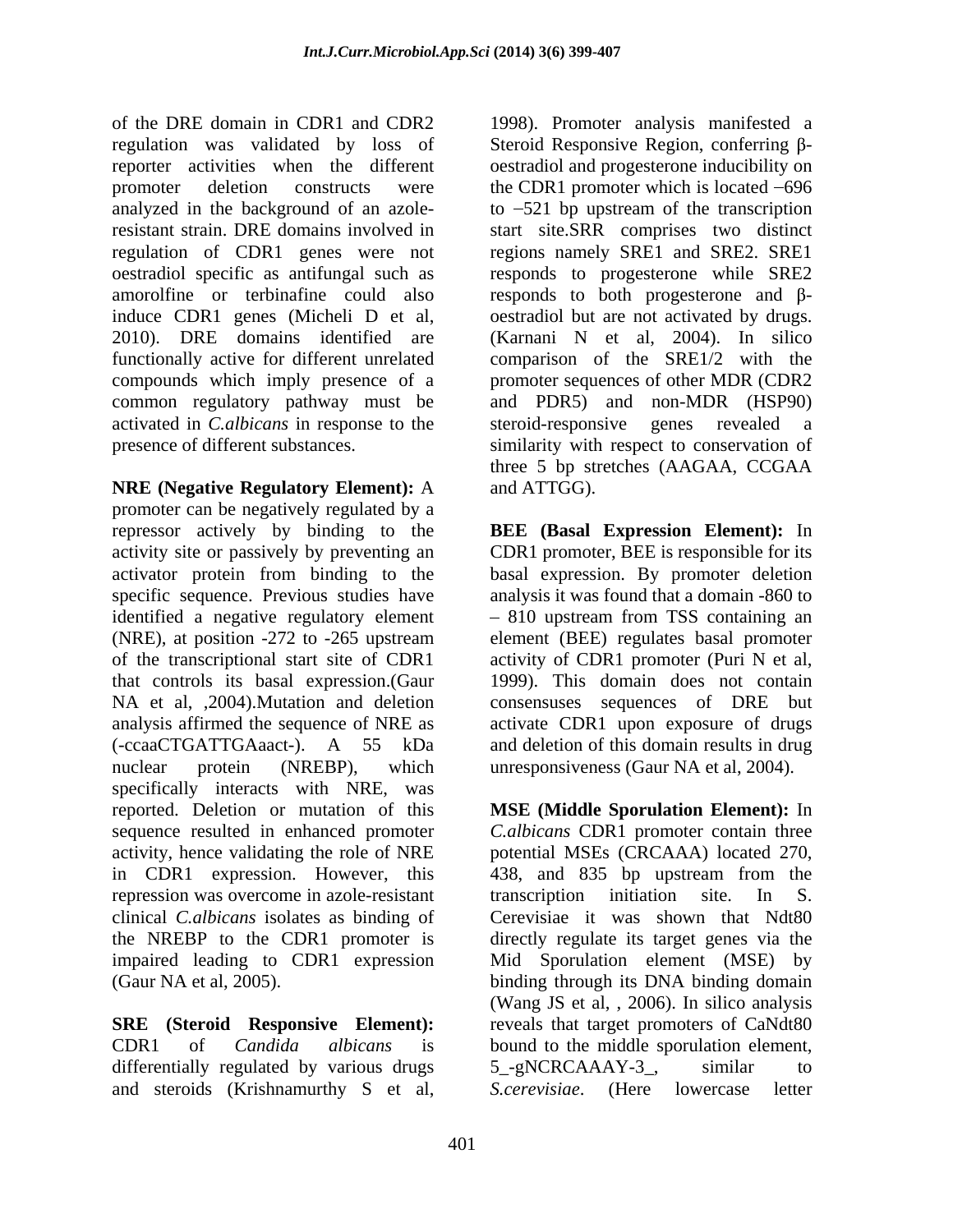of the DRE domain in CDR1 and CDR2 1998). Promoter analysis manifested a  $r$ egulation was validated by loss of Steroid Responsive Region, conferring  $\beta$ reporter activities when the different oestradiol and progesterone inducibility on promoter deletion constructs were the CDR1 promoter which is located –696 analyzed in the background of an azole-to 521 bp upstream of the transcription resistant strain. DRE domains involved in start site.SRR comprises two distinct regulation of CDR1 genes were not regions namely SRE1 and SRE2. SRE1 oestradiol specific as antifungal such as responds to progesterone while SRE2 amorolfine or terbinafine could also responds to both progesterone and  $\beta$ induce CDR1 genes (Micheli D et al, oestradiol but are not activated by drugs. 2010). DRE domains identified are (Karnani N et al, 2004). In silico functionally active for different unrelated comparison of the SRE1/2 with the compounds which imply presence of a common regulatory pathway must be activated in *C.albicans* in response to the steroid-responsive genes revealed a presence of different substances. similarity with respect to conservation of

**NRE (Negative Regulatory Element):** A promoter can be negatively regulated by a repressor actively by binding to the **BEE (Basal Expression Element):**In activity site or passively by preventing an CDR1 promoter, BEE is responsible for its activator protein from binding to the basal expression. By promoter deletion specific sequence. Previous studies have identified a negative regulatory element 810 upstream from TSS containing an (NRE), at position -272 to -265 upstream element (BEE) regulates basal promoter of the transcriptional start site of CDR1 activity of CDR1 promoter (Puri N et al, that controls its basal expression.(Gaur NA et al, ,2004). Mutation and deletion consensuses sequences of DRE but analysis affirmed the sequence of NRE as activate CDR1 upon exposure of drugs (-ccaaCTGATTGAaact-). A 55 kDa and deletion of this domain results in drug nuclear protein (NREBP), which unresponsiveness (Gaur NA et al, 2004). specifically interacts with NRE, was in CDR1 expression. However, this 438, and 835 bp upstream from the repression was overcome in azole-resistant transcription initiation site. In S. clinical *C.albicans* isolates as binding of

differentially regulated by various drugs 5 -gNCRCAAAY-3, similar to and steroids (Krishnamurthy S et al,

promoter sequences of other MDR (CDR2 and PDR5) and non-MDR (HSP90) three 5 bp stretches (AAGAA, CCGAA and ATTGG).

analysis it was found that a domain -860 to 1999). This domain does not contain

reported. Deletion or mutation of this **MSE (Middle Sporulation Element):** In sequence resulted in enhanced promoter *C.albicans* CDR1 promoter contain three activity, hence validating the role of NRE potential MSEs (CRCAAA) located 270, the NREBP to the CDR1 promoter is directly regulate its target genes via the impaired leading to CDR1 expression Mid Sporulation element (MSE) by (Gaur NA et al, 2005). binding through its DNA binding domain **SRE (Steroid Responsive Element):** reveals that target promoters of CaNdt80 CDR1 of *Candida albicans* is bound to the middle sporulation element, 438, and 835 bp upstream from the transcription initiation site. In S. Cerevisiae it was shown that Ndt80 (Wang JS et al, , 2006). In silico analysis 5\_-gNCRCAAAY-3\_, similar to *S.cerevisiae.* (Here lowercase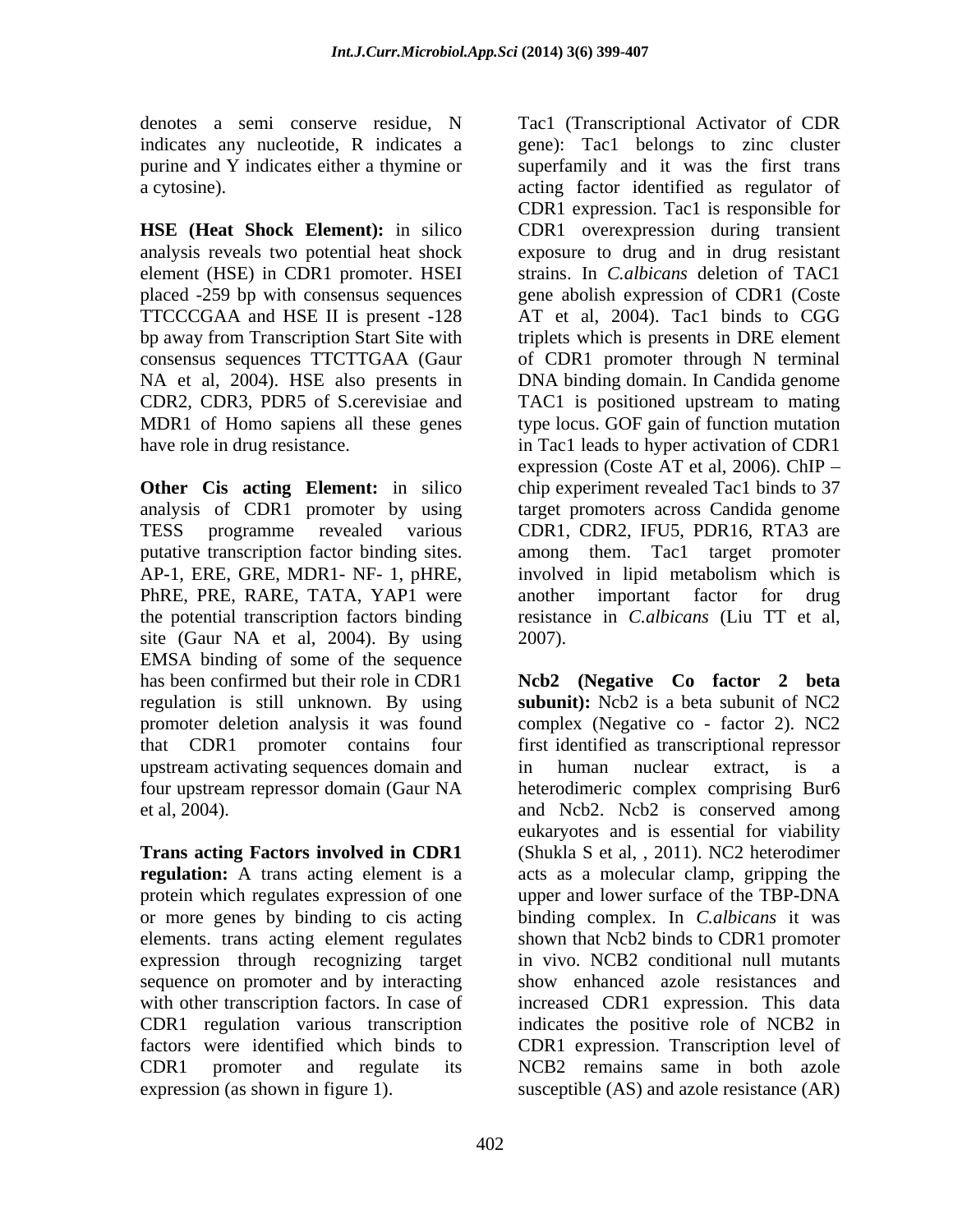analysis of CDR1 promoter by using AP-1, ERE, GRE, MDR1- NF- 1, pHRE, PhRE, PRE, RARE, TATA, YAP1 were another important factor for drug site (Gaur NA et al, 2004). By using 2007). EMSA binding of some of the sequence upstream activating sequences domain and in human nuclear extract, is a

**Trans acting Factors involved in CDR1 regulation:** A trans acting element is a expression through recognizing target sequence on promoter and by interacting expression (as shown in figure 1). susceptible (AS) and azole resistance (AR)

denotes a semi conserve residue, N Tac1 (Transcriptional Activator of CDR indicates any nucleotide, R indicates a gene): Tac1 belongs to zinc cluster purine and Y indicates either a thymine or superfamily and it was the first trans a cytosine). acting factor identified as regulator of **HSE (Heat Shock Element):** in silico CDR1 overexpression during transient analysis reveals two potential heat shock exposure to drug and in drug resistant element (HSE) in CDR1 promoter. HSEI strains. In *C.albicans* deletion of TAC1 placed -259 bp with consensus sequences gene abolish expression of CDR1 (Coste TTCCCGAA and HSE II is present -128 AT et al, 2004). Tac1 binds to CGG bp away from Transcription Start Site with triplets which is presents in DRE element consensus sequences TTCTTGAA (Gaur of CDR1 promoter through N terminal NA et al, 2004). HSE also presents in DNA binding domain. In Candida genome CDR2, CDR3, PDR5 of S.cerevisiae and TAC1 is positioned upstream to mating MDR1 of Homo sapiens all these genes type locus. GOF gain of function mutation have role in drug resistance. in Tac1 leads to hyper activation of CDR1 **Other** Cis acting Element: in silico chip experiment revealed Tac1 binds to 37 TESS programme revealed various CDR1, CDR2, IFU5, PDR16, RTA3 are putative transcription factor binding sites. among them. Tac1 target promoter the potential transcription factors binding resistance in *C.albicans* (Liu TT et al, CDR1 expression. Tac1 is responsible for expression (Coste AT et al, 2006). ChIP target promoters across Candida genome involved in lipid metabolism which is another important factor for 2007).

has been confirmed but their role in CDR1 **Ncb2 (Negative Co factor 2 beta** regulation is still unknown. By using **subunit):** Ncb2 is a beta subunit of NC2 promoter deletion analysis it was found complex (Negative co - factor 2). NC2 that CDR1 promoter contains four first identified as transcriptional repressor four upstream repressor domain (Gaur NA heterodimeric complex comprising Bur6 et al, 2004). and Ncb2. Ncb2 is conserved among protein which regulates expression of one upper and lower surface of the TBP-DNA or more genes by binding to cis acting binding complex. In *C.albicans* it was elements. trans acting element regulates shown that Ncb2 binds to CDR1 promoter with other transcription factors. In case of increased CDR1 expression. This data CDR1 regulation various transcription indicates the positive role of NCB2 in factors were identified which binds to CDR1 expression. Transcription level of CDR1 promoter and regulate its NCB2 remains same in both azole in human nuclear extract, is a eukaryotes and is essential for viability (Shukla S et al,  $, 2011$ ). NC2 heterodimer acts as a molecular clamp, gripping the in vivo. NCB2 conditional null mutants show enhanced azole resistances and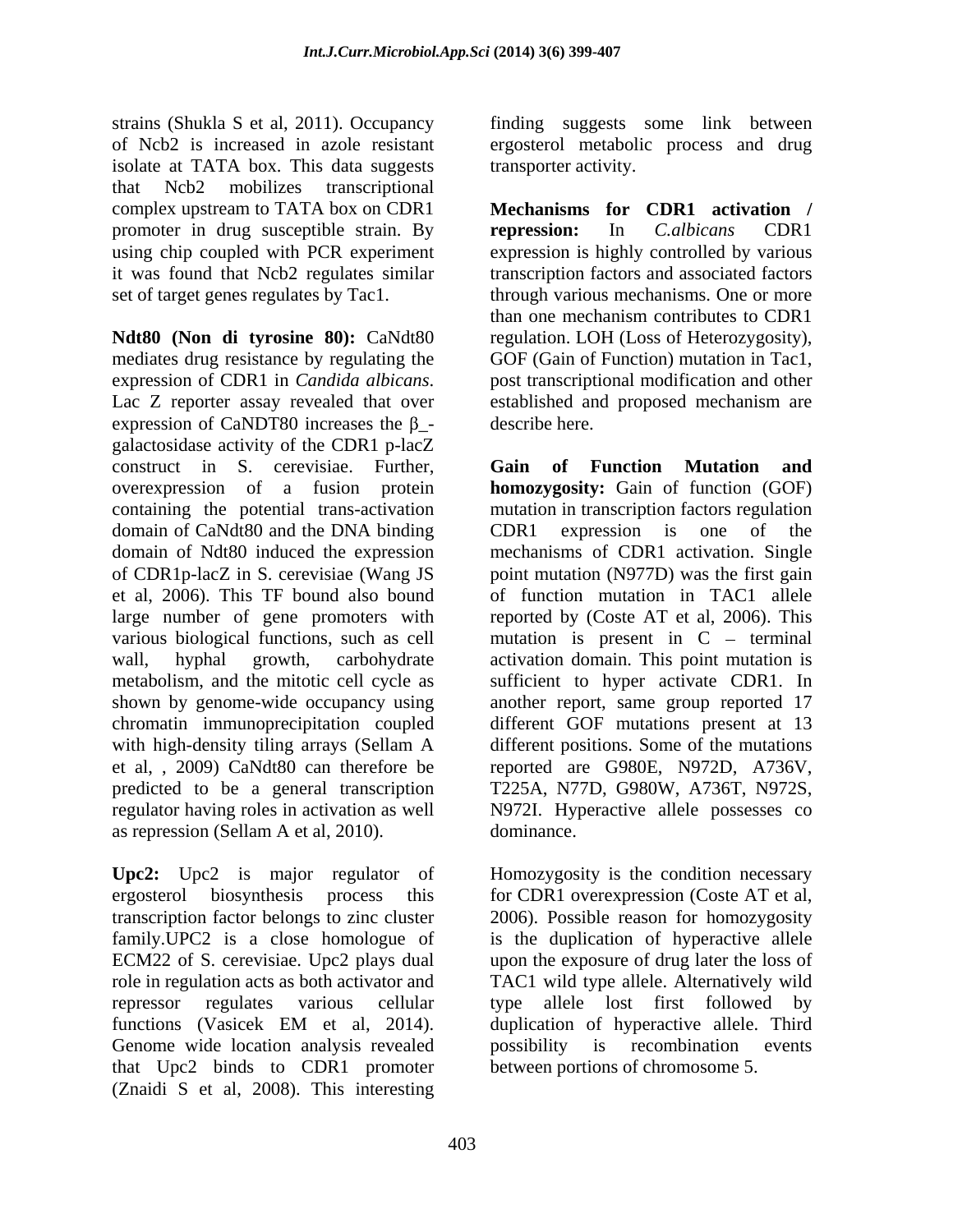strains (Shukla S et al, 2011). Occupancy of Ncb2 is increased in azole resistant ergosterol metabolic process and drug isolate at TATA box. This data suggests that Ncb2 mobilizes transcriptional complex upstream to TATA box on CDR1 promoter in drug susceptible strain. By **repression:** In *C.albicans* CDR1

**Ndt80 (Non di tyrosine 80):** CaNdt80 regulation. LOH (Loss of Heterozygosity), mediates drug resistance by regulating the expression of CDR1 in *Candida albicans*. <br>
Lac Z reporter assay revealed that over lestablished and proposed mechanism are expression of CaNDT80 increases the  $\beta$ - describe here. galactosidase activity of the CDR1 p-lacZ construct in S. cerevisiae. Further, overexpression of a fusion protein **homozygosity:** Gain of function (GOF) containing the potential trans-activation mutation in transcription factors regulation domain of CaNdt80 and the DNA binding CDR1 expression is one of the domain of Ndt80 induced the expression mechanisms of CDR1 activation. Single of CDR1p-lacZ in S. cerevisiae (Wang JS point mutation (N977D) was the first gain et al, 2006). This TF bound also bound large number of gene promoters with reported by (Coste AT et al, 2006). This various biological functions, such as cell mutation is present in  $C -$  terminal wall, hyphal growth, carbohydrate activation domain. This point mutation is metabolism, and the mitotic cell cycle as sufficient to hyper activate CDR1. In shown by genome-wide occupancy using chromatin immunoprecipitation coupled with high-density tiling arrays (Sellam A different positions. Some of the mutations et al, , 2009) CaNdt80 can therefore be reported are G980E, N972D, A736V, predicted to be a general transcription regulator having roles in activation as well N972I. Hyperactive allele possesses co as repression (Sellam A et al, 2010).

Upc2: Upc2 is major regulator of Homozygosity is the condition necessary ergosterol biosynthesis process this for CDR1 overexpression (Coste AT et al, transcription factor belongs to zinc cluster 2006). Possible reason for homozygosity family.UPC2 is a close homologue of is the duplication of hyperactive allele ECM22 of S. cerevisiae. Upc2 plays dual upon the exposure of drug later the loss of role in regulation acts as both activator and TAC1 wild type allele. Alternatively wild repressor regulates various cellular type allele lost first followed by functions (Vasicek EM et al, 2014). duplication of hyperactive allele. Third Genome wide location analysis revealed by possibility is recombination events that Upc2 binds to CDR1 promoter (Znaidi S et al, 2008). This interesting

finding suggests some link between transporter activity.

using chip coupled with PCR experiment expression is highly controlled by various it was found that Ncb2 regulates similar transcription factors and associated factors set of target genes regulates by Tac1. through various mechanisms. One or more **Mechanisms for CDR1 activation / repression:** In *C.albicans* CDR1 than one mechanism contributes to CDR1 GOF (Gain of Function) mutation in Tac1, post transcriptional modification and other established and proposed mechanism are describe here.

> **Gain of Function Mutation and** CDR1 expression is one of the of function mutation in TAC1 allele another report, same group reported 17 different GOF mutations present at 13 different positions. Some of the mutations T225A, N77D, G980W, A736T, N972S, dominance.

duplication of hyperactive allele. Third possibility is recombination events between portions of chromosome 5.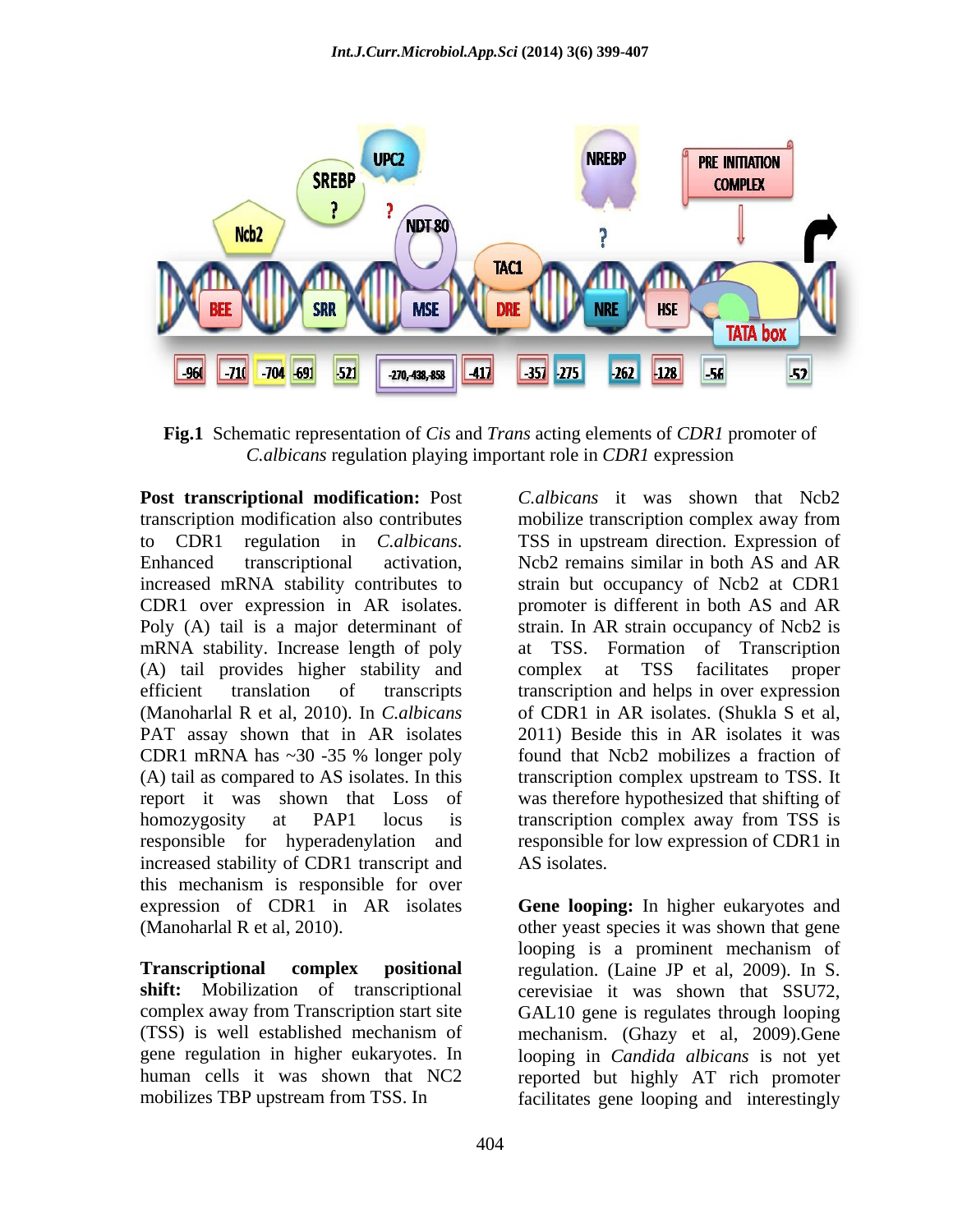

**Fig.1** Schematic representation of *Cis* and *Trans* acting elements of *CDR1* promoter of *C.albicans* regulation playing important role in *CDR1* expression

**Post transcriptional modification:** Post transcription modification also contributes mobilize transcription complex away from to CDR1 regulation in *C.albicans*. TSS in upstream direction. Expression of transcriptional activation, Ncb2 remains similar in both AS and AR increased mRNA stability contributes to strain but occupancy of Ncb2 at CDR1 CDR1 over expression in AR isolates. promoter is different in both AS and AR Poly (A) tail is a major determinant of strain. In AR strain occupancy of Ncb2 is mRNA stability. Increase length of poly at TSS. (A) tail provides higher stability and complex at TSS facilitates proper efficient translation of transcripts transcription and helps in over expression (Manoharlal R et al, 2010). In *C.albicans* PAT assay shown that in AR isolates CDR1 mRNA has ~30 -35 % longer poly found that Ncb2 mobilizes a fraction of (A) tail as compared to AS isolates. In this transcription complex upstream to TSS. It report it was shown that Loss of was therefore hypothesized that shifting of homozygosity at PAP1 locus is transcription complex away from TSS is responsible for hyperadenylation and responsible for low expression of CDR1 in increased stability of CDR1 transcript and AS isolates. this mechanism is responsible for over expression of CDR1 in AR isolates **Gene looping:** In higher eukaryotes and (Manoharlal R et al, 2010). other yeast species it was shown that gene

*C.albicans* it was shown that Ncb2 TSS in upstream direction. Expression of Ncb2 remains similar in both AS and AR Formation of Transcription complex at TSS facilitates proper of CDR1 in AR isolates. (Shukla S et al, 2011) Beside this in AR isolates it was found that Ncb2 mobilizes a fraction of AS isolates.

**Transcriptional complex positional** regulation. (Laine JP et al, 2009). In S. **shift:** Mobilization of transcriptional cerevisiae it was shown that SSU72, complex away from Transcription start site GAL10 gene is regulates through looping (TSS) is well established mechanism of mechanism. (Ghazy et al, 2009).Gene gene regulation in higher eukaryotes. In looping in *Candida albicans* is not yet human cells it was shown that NC2 reported but highly AT rich promoter mobilizes TBP upstream from TSS. In facilitates gene looping and interestinglylooping is a prominent mechanism of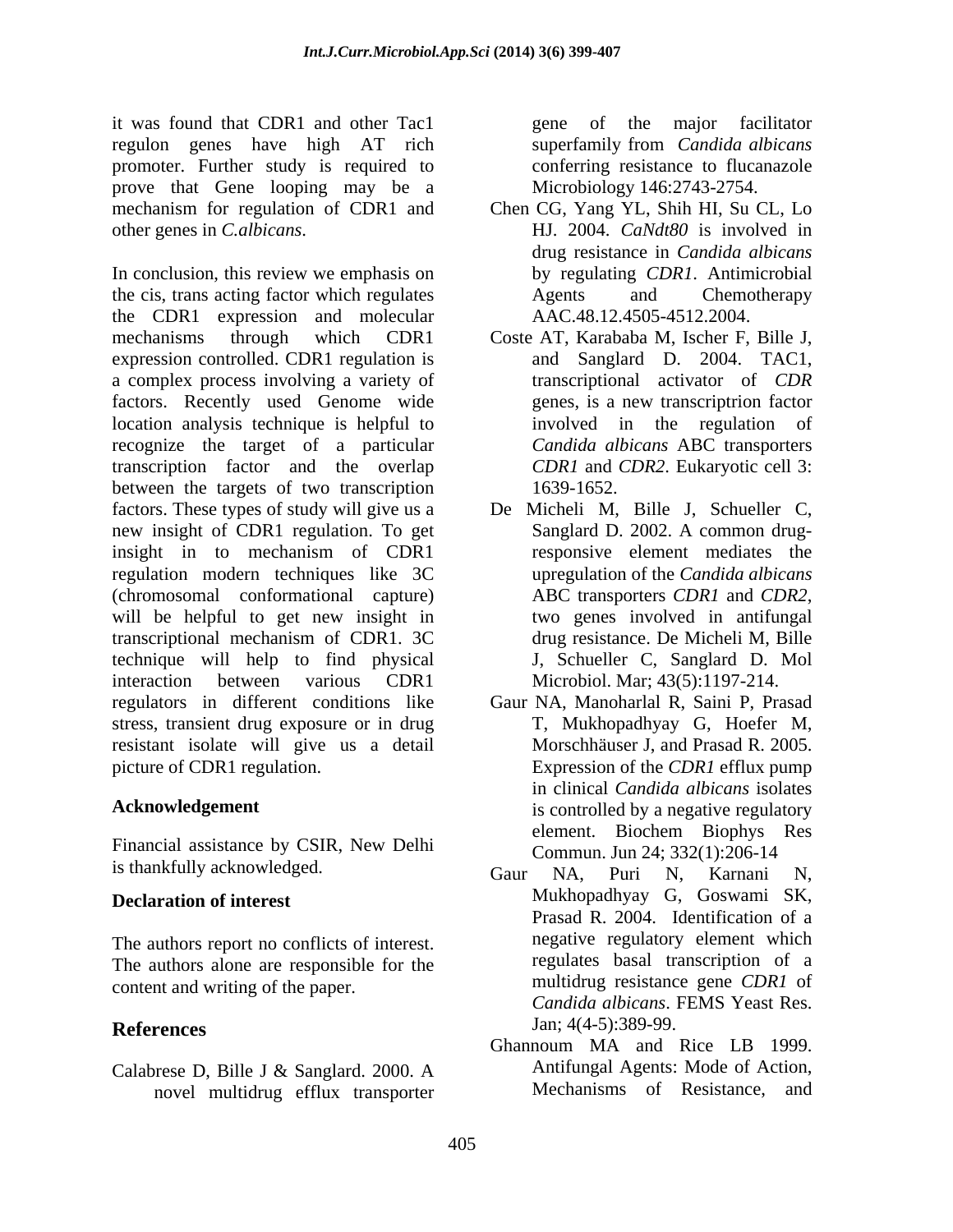it was found that CDR1 and other Tac1 regulon genes have high AT rich superfamily from *Candida albicans* promoter. Further study is required to prove that Gene looping may be a mechanism for regulation of CDR1 and Chen CG, Yang YL, Shih HI, Su CL, Lo other genes in *C.albicans*. HJ. 2004. *CaNdt80* is involved in

In conclusion, this review we emphasis on the cis, trans acting factor which regulates Agents and Chemotherapy the CDR1 expression and molecular mechanisms through which CDR1 Coste AT, Karababa M, Ischer F, Bille J, expression controlled. CDR1 regulation is a complex process involving a variety of factors. Recently used Genome wide location analysis technique is helpful to recognize the target of a particular transcription factor and the overlap between the targets of two transcription 1639-1652. factors. These types of study will give us a De Micheli M, Bille J, Schueller C, new insight of CDR1 regulation. To get insight in to mechanism of CDR1 regulation modern techniques like 3C (chromosomal conformational capture) ABC transporters CDR1 and CDR2, will be helpful to get new insight in two genes involved in antifungal transcriptional mechanism of CDR1. 3C technique will help to find physical interaction between various CDR1 Microbiol. Mar; 43(5):1197-214. regulators in different conditions like Gaur NA, Manoharlal R, Saini P, Prasad stress, transient drug exposure or in drug resistant isolate will give us a detail

is thankfully acknowledged. Gaur NA, Puri N, Karnani N,

The authors report no conflicts of interest. The authors alone are responsible for the content and writing of the paper.

Calabrese D, Bille J & Sanglard. 2000. A novel multidrug efflux transporter

gene of the major facilitator superfamily from *Candida albicans* conferring resistance to flucanazole Microbiology 146:2743-2754.

- drug resistance in *Candida albicans* by regulating *CDR1*. Antimicrobial Agents and Chemotherapy AAC.48.12.4505-4512.2004.
- and Sanglard D. 2004. TAC1, transcriptional activator of *CDR* genes, is a new transcriptrion factor involved in the regulation of *Candida albicans* ABC transporters *CDR1* and *CDR2*. Eukaryotic cell 3: 1639-1652.
- Sanglard D. 2002. A common drugresponsive element mediates the upregulation of the *Candida albicans* ABC transporters *CDR1* and *CDR2*, two genes involved in antifungal drug resistance. De Micheli M, Bille J, Schueller C, Sanglard D. Mol
- picture of CDR1 regulation. Expression of the *CDR1* efflux pump Acknowledgement is controlled by a negative regulatory Financial assistance by CSIR, New Delhi<br>
Commun Jun 24: 332(1):206.14 T, Mukhopadhyay G, Hoefer M, Morschhäuser J, and Prasad R. 2005. in clinical *Candida albicans* isolates element. Biochem Biophys Res Commun. Jun 24; 332(1):206-14
- **Declaration of interest** Mukhopadhyay G, Goswami SK, **References** Jan; 4(4-5):389-99. Gaur NA, Puri N, Karnani N, Prasad R. 2004. Identification of a negative regulatory element which regulates basal transcription of a multidrug resistance gene *CDR1* of *Candida albicans*. FEMS Yeast Res. Jan; 4(4-5):389-99.
	- Ghannoum MA and Rice LB 1999. Antifungal Agents: Mode of Action, Mechanisms of Resistance, and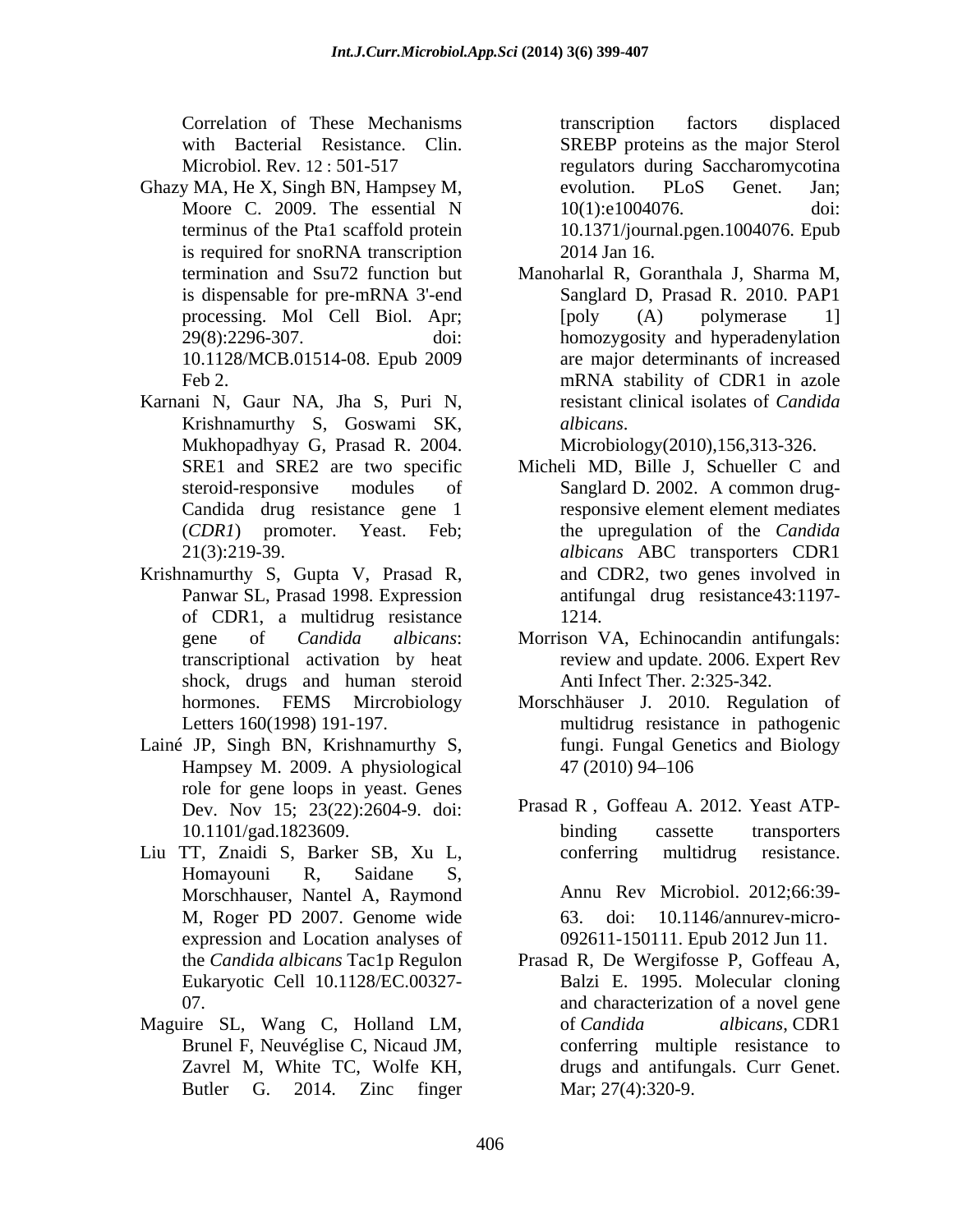Correlation of These Mechanisms

- Ghazy MA, He X, Singh BN, Hampsey M, evolution. PLoS Genet. Jan; Moore C. 2009. The essential N 10(1):e1004076. doi: terminus of the Pta1 scaffold protein 10.1371/journal.pgen.1004076. Epub is required for snoRNA transcription 2014 Jan 16.
- Karnani N, Gaur NA, Jha S, Puri N, Krishnamurthy S, Goswami SK, Mukhopadhyay G, Prasad R. 2004. Candida drug resistance gene 1
- Krishnamurthy S, Gupta V, Prasad R, Panwar SL, Prasad 1998. Expression of CDR1, a multidrug resistance shock, drugs and human steroid
- Lainé JP, Singh BN, Krishnamurthy S, Hampsey M. 2009. A physiological role for gene loops in yeast. Genes Dev. Nov 15; 23(22):2604-9. doi:
- Liu TT, Znaidi S, Barker SB, Xu L, Homayouni R, Saidane S, Morschhauser, Nantel A, Raymond expression and Location analyses of
- Maguire SL, Wang C, Holland LM, of Candida albicans, CDR1

with Bacterial Resistance. Clin. SREBP proteins as the major Sterol Microbiol. Rev. 12 : 501-517 regulators during Saccharomycotina transcription factors displaced evolution. PLoS Genet. Jan; 10(1):e1004076. doi: 2014 Jan 16.

termination and Ssu72 function but Manoharlal R, Goranthala J, Sharma M, is dispensable for pre-mRNA 3'-end Sanglard D, Prasad R. 2010. PAP1 processing. Mol Cell Biol. Apr; [poly (A) polymerase 1] 29(8):2296-307. doi: homozygosity and hyperadenylation 10.1128/MCB.01514-08. Epub 2009 are major determinants of increased Feb 2. The mRNA stability of CDR1 in azole Sanglard D, Prasad R. 2010. PAP1 [poly (A) polymerase 1] mRNA stability of CDR1 in azole resistant clinical isolates of *Candida* 

*albicans*. Microbiology(2010),156,313-326.

- SRE1 and SRE2 are two specific Micheli MD, Bille J, Schueller C and steroid-responsive modules of Sanglard D. 2002. A common drug-(*CDR1*) promoter. Yeast. Feb; the upregulation of the *Candida*  21(3):219-39. *albicans* ABC transporters CDR1 responsive element element mediates and CDR2, two genes involved in antifungal drug resistance43:1197- 1214.
- gene of *Candida albicans*: Morrison VA, Echinocandin antifungals: transcriptional activation by heat review and update. 2006. Expert Rev Anti Infect Ther. 2:325-342.
- hormones. FEMS Mircrobiology Morschhäuser J. 2010. Regulation of Letters 160(1998) 191-197. multidrug resistance in pathogenic fungi. Fungal Genetics and Biology 47 (2010) 94 106

10.1101/gad.1823609. Prasad R , Goffeau A. 2012. Yeast ATP binding cassette transporters conferring multidrug resistance.

M, Roger PD 2007. Genome wide Annu Rev Microbiol. 2012;66:39- 63. doi: 10.1146/annurev-micro- 092611-150111. Epub 2012 Jun 11.

the *Candida albicans* Tac1p Regulon Prasad R, De Wergifosse P, Goffeau A, Eukaryotic Cell 10.1128/EC.00327- Balzi E. 1995. Molecular cloning 07. and characterization of a novel gene Brunel F, Neuvéglise C, Nicaud JM, conferring multiple resistance to Zavrel M, White TC, Wolfe KH, drugs and antifungals. Curr Genet. Butler G. 2014. Zinc finger of *Candida albicans*, CDR1 drugs and antifungals. Curr Genet. Mar; 27(4):320-9.